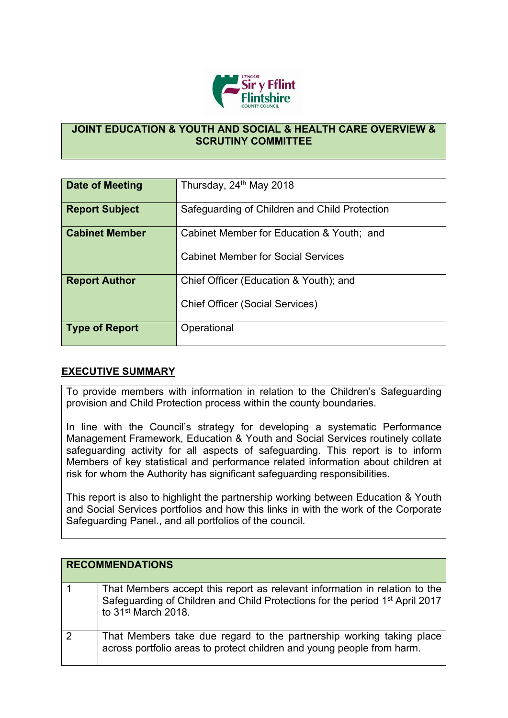

## **JOINT EDUCATION & YOUTH AND SOCIAL & HEALTH CARE OVERVIEW & SCRUTINY COMMITTEE**

| Date of Meeting       | Thursday, 24 <sup>th</sup> May 2018                                                    |
|-----------------------|----------------------------------------------------------------------------------------|
| <b>Report Subject</b> | Safeguarding of Children and Child Protection                                          |
| <b>Cabinet Member</b> | Cabinet Member for Education & Youth; and<br><b>Cabinet Member for Social Services</b> |
| <b>Report Author</b>  | Chief Officer (Education & Youth); and<br><b>Chief Officer (Social Services)</b>       |
| <b>Type of Report</b> | Operational                                                                            |

## **EXECUTIVE SUMMARY**

To provide members with information in relation to the Children's Safeguarding provision and Child Protection process within the county boundaries.

In line with the Council's strategy for developing a systematic Performance Management Framework, Education & Youth and Social Services routinely collate safeguarding activity for all aspects of safeguarding. This report is to inform Members of key statistical and performance related information about children at risk for whom the Authority has significant safeguarding responsibilities.

This report is also to highlight the partnership working between Education & Youth and Social Services portfolios and how this links in with the work of the Corporate Safeguarding Panel., and all portfolios of the council.

|   | <b>RECOMMENDATIONS</b>                                                                                                                                                                                    |
|---|-----------------------------------------------------------------------------------------------------------------------------------------------------------------------------------------------------------|
|   | That Members accept this report as relevant information in relation to the<br>Safeguarding of Children and Child Protections for the period 1 <sup>st</sup> April 2017<br>to 31 <sup>st</sup> March 2018. |
| 2 | That Members take due regard to the partnership working taking place<br>across portfolio areas to protect children and young people from harm.                                                            |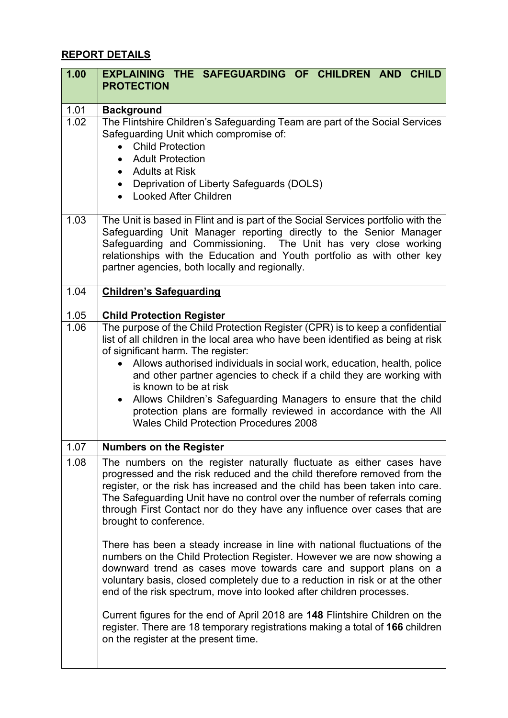## **REPORT DETAILS**

| 1.00 | EXPLAINING THE SAFEGUARDING OF CHILDREN AND<br><b>CHILD</b><br><b>PROTECTION</b>                                                                                                                                                                                                                                                                                                                                                                                                                                                                                                             |  |  |
|------|----------------------------------------------------------------------------------------------------------------------------------------------------------------------------------------------------------------------------------------------------------------------------------------------------------------------------------------------------------------------------------------------------------------------------------------------------------------------------------------------------------------------------------------------------------------------------------------------|--|--|
| 1.01 | <b>Background</b>                                                                                                                                                                                                                                                                                                                                                                                                                                                                                                                                                                            |  |  |
| 1.02 | The Flintshire Children's Safeguarding Team are part of the Social Services<br>Safeguarding Unit which compromise of:<br><b>Child Protection</b><br><b>Adult Protection</b><br>$\bullet$<br><b>Adults at Risk</b><br>$\bullet$<br>Deprivation of Liberty Safeguards (DOLS)<br>$\bullet$<br>• Looked After Children                                                                                                                                                                                                                                                                           |  |  |
| 1.03 | The Unit is based in Flint and is part of the Social Services portfolio with the<br>Safeguarding Unit Manager reporting directly to the Senior Manager<br>Safeguarding and Commissioning. The Unit has very close working<br>relationships with the Education and Youth portfolio as with other key<br>partner agencies, both locally and regionally.                                                                                                                                                                                                                                        |  |  |
| 1.04 | <b>Children's Safeguarding</b>                                                                                                                                                                                                                                                                                                                                                                                                                                                                                                                                                               |  |  |
| 1.05 | <b>Child Protection Register</b>                                                                                                                                                                                                                                                                                                                                                                                                                                                                                                                                                             |  |  |
| 1.06 | The purpose of the Child Protection Register (CPR) is to keep a confidential<br>list of all children in the local area who have been identified as being at risk<br>of significant harm. The register:<br>• Allows authorised individuals in social work, education, health, police<br>and other partner agencies to check if a child they are working with<br>is known to be at risk<br>Allows Children's Safeguarding Managers to ensure that the child<br>$\bullet$<br>protection plans are formally reviewed in accordance with the All<br><b>Wales Child Protection Procedures 2008</b> |  |  |
| 1.07 | <b>Numbers on the Register</b>                                                                                                                                                                                                                                                                                                                                                                                                                                                                                                                                                               |  |  |
| 1.08 | The numbers on the register naturally fluctuate as either cases have<br>progressed and the risk reduced and the child therefore removed from the<br>register, or the risk has increased and the child has been taken into care.<br>The Safeguarding Unit have no control over the number of referrals coming<br>through First Contact nor do they have any influence over cases that are<br>brought to conference.                                                                                                                                                                           |  |  |
|      | There has been a steady increase in line with national fluctuations of the<br>numbers on the Child Protection Register. However we are now showing a<br>downward trend as cases move towards care and support plans on a<br>voluntary basis, closed completely due to a reduction in risk or at the other<br>end of the risk spectrum, move into looked after children processes.                                                                                                                                                                                                            |  |  |
|      | Current figures for the end of April 2018 are 148 Flintshire Children on the<br>register. There are 18 temporary registrations making a total of 166 children<br>on the register at the present time.                                                                                                                                                                                                                                                                                                                                                                                        |  |  |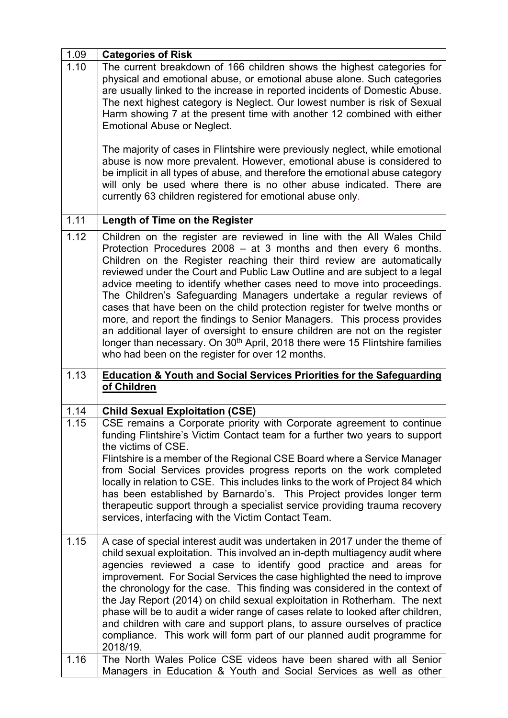| 1.09         | <b>Categories of Risk</b>                                                                                                                                                                                                                                                                                                                                                                                                                                                                                                                                                                                                                                                                                                                                                                                                                     |
|--------------|-----------------------------------------------------------------------------------------------------------------------------------------------------------------------------------------------------------------------------------------------------------------------------------------------------------------------------------------------------------------------------------------------------------------------------------------------------------------------------------------------------------------------------------------------------------------------------------------------------------------------------------------------------------------------------------------------------------------------------------------------------------------------------------------------------------------------------------------------|
| 1.10         | The current breakdown of 166 children shows the highest categories for<br>physical and emotional abuse, or emotional abuse alone. Such categories<br>are usually linked to the increase in reported incidents of Domestic Abuse.<br>The next highest category is Neglect. Our lowest number is risk of Sexual<br>Harm showing 7 at the present time with another 12 combined with either<br><b>Emotional Abuse or Neglect.</b>                                                                                                                                                                                                                                                                                                                                                                                                                |
|              | The majority of cases in Flintshire were previously neglect, while emotional<br>abuse is now more prevalent. However, emotional abuse is considered to<br>be implicit in all types of abuse, and therefore the emotional abuse category<br>will only be used where there is no other abuse indicated. There are<br>currently 63 children registered for emotional abuse only.                                                                                                                                                                                                                                                                                                                                                                                                                                                                 |
| 1.11         | <b>Length of Time on the Register</b>                                                                                                                                                                                                                                                                                                                                                                                                                                                                                                                                                                                                                                                                                                                                                                                                         |
| 1.12         | Children on the register are reviewed in line with the All Wales Child<br>Protection Procedures 2008 - at 3 months and then every 6 months.<br>Children on the Register reaching their third review are automatically<br>reviewed under the Court and Public Law Outline and are subject to a legal<br>advice meeting to identify whether cases need to move into proceedings.<br>The Children's Safeguarding Managers undertake a regular reviews of<br>cases that have been on the child protection register for twelve months or<br>more, and report the findings to Senior Managers. This process provides<br>an additional layer of oversight to ensure children are not on the register<br>longer than necessary. On 30 <sup>th</sup> April, 2018 there were 15 Flintshire families<br>who had been on the register for over 12 months. |
|              |                                                                                                                                                                                                                                                                                                                                                                                                                                                                                                                                                                                                                                                                                                                                                                                                                                               |
| 1.13         | <b>Education &amp; Youth and Social Services Priorities for the Safeguarding</b><br>of Children                                                                                                                                                                                                                                                                                                                                                                                                                                                                                                                                                                                                                                                                                                                                               |
|              |                                                                                                                                                                                                                                                                                                                                                                                                                                                                                                                                                                                                                                                                                                                                                                                                                                               |
| 1.14<br>1.15 | <b>Child Sexual Exploitation (CSE)</b><br>CSE remains a Corporate priority with Corporate agreement to continue<br>funding Flintshire's Victim Contact team for a further two years to support<br>the victims of CSE.<br>Flintshire is a member of the Regional CSE Board where a Service Manager<br>from Social Services provides progress reports on the work completed<br>locally in relation to CSE. This includes links to the work of Project 84 which<br>has been established by Barnardo's. This Project provides longer term<br>therapeutic support through a specialist service providing trauma recovery<br>services, interfacing with the Victim Contact Team.                                                                                                                                                                    |
| 1.15<br>1.16 | A case of special interest audit was undertaken in 2017 under the theme of<br>child sexual exploitation. This involved an in-depth multiagency audit where<br>agencies reviewed a case to identify good practice and areas for<br>improvement. For Social Services the case highlighted the need to improve<br>the chronology for the case. This finding was considered in the context of<br>the Jay Report (2014) on child sexual exploitation in Rotherham. The next<br>phase will be to audit a wider range of cases relate to looked after children,<br>and children with care and support plans, to assure ourselves of practice<br>compliance. This work will form part of our planned audit programme for<br>2018/19.<br>The North Wales Police CSE videos have been shared with all Senior                                            |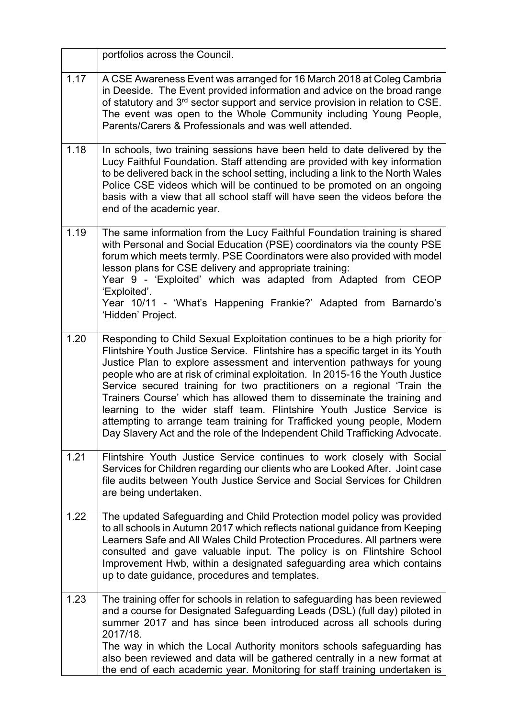|      | portfolios across the Council.                                                                                                                                                                                                                                                                                                                                                                                                                                                                                                                                                                                                                                                                                     |
|------|--------------------------------------------------------------------------------------------------------------------------------------------------------------------------------------------------------------------------------------------------------------------------------------------------------------------------------------------------------------------------------------------------------------------------------------------------------------------------------------------------------------------------------------------------------------------------------------------------------------------------------------------------------------------------------------------------------------------|
| 1.17 | A CSE Awareness Event was arranged for 16 March 2018 at Coleg Cambria<br>in Deeside. The Event provided information and advice on the broad range<br>of statutory and 3 <sup>rd</sup> sector support and service provision in relation to CSE.<br>The event was open to the Whole Community including Young People,<br>Parents/Carers & Professionals and was well attended.                                                                                                                                                                                                                                                                                                                                       |
| 1.18 | In schools, two training sessions have been held to date delivered by the<br>Lucy Faithful Foundation. Staff attending are provided with key information<br>to be delivered back in the school setting, including a link to the North Wales<br>Police CSE videos which will be continued to be promoted on an ongoing<br>basis with a view that all school staff will have seen the videos before the<br>end of the academic year.                                                                                                                                                                                                                                                                                 |
| 1.19 | The same information from the Lucy Faithful Foundation training is shared<br>with Personal and Social Education (PSE) coordinators via the county PSE<br>forum which meets termly. PSE Coordinators were also provided with model<br>lesson plans for CSE delivery and appropriate training:<br>Year 9 - 'Exploited' which was adapted from Adapted from CEOP<br>'Exploited'.<br>Year 10/11 - 'What's Happening Frankie?' Adapted from Barnardo's<br>'Hidden' Project.                                                                                                                                                                                                                                             |
| 1.20 | Responding to Child Sexual Exploitation continues to be a high priority for<br>Flintshire Youth Justice Service. Flintshire has a specific target in its Youth<br>Justice Plan to explore assessment and intervention pathways for young<br>people who are at risk of criminal exploitation. In 2015-16 the Youth Justice<br>Service secured training for two practitioners on a regional 'Train the<br>Trainers Course' which has allowed them to disseminate the training and<br>learning to the wider staff team. Flintshire Youth Justice Service is<br>attempting to arrange team training for Trafficked young people, Modern<br>Day Slavery Act and the role of the Independent Child Trafficking Advocate. |
| 1.21 | Flintshire Youth Justice Service continues to work closely with Social<br>Services for Children regarding our clients who are Looked After. Joint case<br>file audits between Youth Justice Service and Social Services for Children<br>are being undertaken.                                                                                                                                                                                                                                                                                                                                                                                                                                                      |
| 1.22 | The updated Safeguarding and Child Protection model policy was provided<br>to all schools in Autumn 2017 which reflects national guidance from Keeping<br>Learners Safe and All Wales Child Protection Procedures. All partners were<br>consulted and gave valuable input. The policy is on Flintshire School<br>Improvement Hwb, within a designated safeguarding area which contains<br>up to date guidance, procedures and templates.                                                                                                                                                                                                                                                                           |
| 1.23 | The training offer for schools in relation to safeguarding has been reviewed<br>and a course for Designated Safeguarding Leads (DSL) (full day) piloted in<br>summer 2017 and has since been introduced across all schools during<br>2017/18.                                                                                                                                                                                                                                                                                                                                                                                                                                                                      |
|      | The way in which the Local Authority monitors schools safeguarding has<br>also been reviewed and data will be gathered centrally in a new format at<br>the end of each academic year. Monitoring for staff training undertaken is                                                                                                                                                                                                                                                                                                                                                                                                                                                                                  |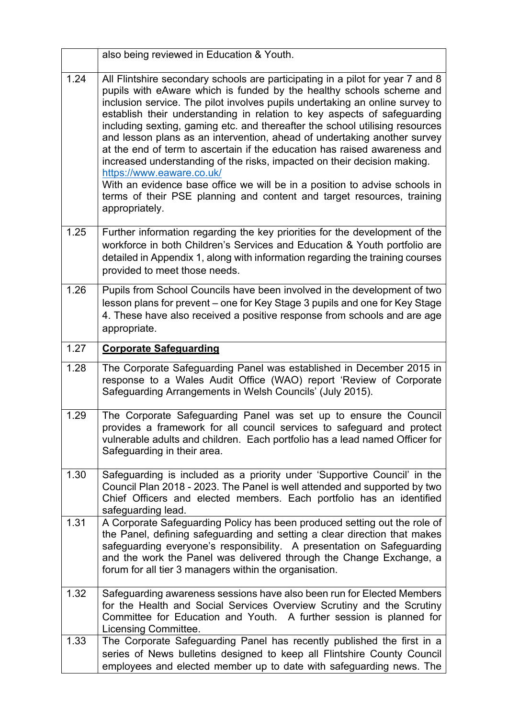|      | also being reviewed in Education & Youth.                                                                                                                                                                                                                                                                                                                                                                                                                                                                                                                                                                                                                                                                                                                                                                                                      |  |  |
|------|------------------------------------------------------------------------------------------------------------------------------------------------------------------------------------------------------------------------------------------------------------------------------------------------------------------------------------------------------------------------------------------------------------------------------------------------------------------------------------------------------------------------------------------------------------------------------------------------------------------------------------------------------------------------------------------------------------------------------------------------------------------------------------------------------------------------------------------------|--|--|
| 1.24 | All Flintshire secondary schools are participating in a pilot for year 7 and 8<br>pupils with eAware which is funded by the healthy schools scheme and<br>inclusion service. The pilot involves pupils undertaking an online survey to<br>establish their understanding in relation to key aspects of safeguarding<br>including sexting, gaming etc. and thereafter the school utilising resources<br>and lesson plans as an intervention, ahead of undertaking another survey<br>at the end of term to ascertain if the education has raised awareness and<br>increased understanding of the risks, impacted on their decision making.<br>https://www.eaware.co.uk/<br>With an evidence base office we will be in a position to advise schools in<br>terms of their PSE planning and content and target resources, training<br>appropriately. |  |  |
| 1.25 | Further information regarding the key priorities for the development of the<br>workforce in both Children's Services and Education & Youth portfolio are<br>detailed in Appendix 1, along with information regarding the training courses<br>provided to meet those needs.                                                                                                                                                                                                                                                                                                                                                                                                                                                                                                                                                                     |  |  |
| 1.26 | Pupils from School Councils have been involved in the development of two<br>lesson plans for prevent – one for Key Stage 3 pupils and one for Key Stage<br>4. These have also received a positive response from schools and are age<br>appropriate.                                                                                                                                                                                                                                                                                                                                                                                                                                                                                                                                                                                            |  |  |
| 1.27 | <b>Corporate Safeguarding</b>                                                                                                                                                                                                                                                                                                                                                                                                                                                                                                                                                                                                                                                                                                                                                                                                                  |  |  |
| 1.28 | The Corporate Safeguarding Panel was established in December 2015 in<br>response to a Wales Audit Office (WAO) report 'Review of Corporate<br>Safeguarding Arrangements in Welsh Councils' (July 2015).                                                                                                                                                                                                                                                                                                                                                                                                                                                                                                                                                                                                                                        |  |  |
| 1.29 | The Corporate Safeguarding Panel was set up to ensure the Council<br>provides a framework for all council services to safeguard and protect<br>vulnerable adults and children. Each portfolio has a lead named Officer for<br>Safeguarding in their area.                                                                                                                                                                                                                                                                                                                                                                                                                                                                                                                                                                                      |  |  |
| 1.30 | Safeguarding is included as a priority under 'Supportive Council' in the<br>Council Plan 2018 - 2023. The Panel is well attended and supported by two<br>Chief Officers and elected members. Each portfolio has an identified<br>safeguarding lead.                                                                                                                                                                                                                                                                                                                                                                                                                                                                                                                                                                                            |  |  |
| 1.31 | A Corporate Safeguarding Policy has been produced setting out the role of<br>the Panel, defining safeguarding and setting a clear direction that makes<br>safeguarding everyone's responsibility. A presentation on Safeguarding<br>and the work the Panel was delivered through the Change Exchange, a<br>forum for all tier 3 managers within the organisation.                                                                                                                                                                                                                                                                                                                                                                                                                                                                              |  |  |
| 1.32 | Safeguarding awareness sessions have also been run for Elected Members<br>for the Health and Social Services Overview Scrutiny and the Scrutiny<br>Committee for Education and Youth. A further session is planned for<br>Licensing Committee.                                                                                                                                                                                                                                                                                                                                                                                                                                                                                                                                                                                                 |  |  |
| 1.33 | The Corporate Safeguarding Panel has recently published the first in a<br>series of News bulletins designed to keep all Flintshire County Council<br>employees and elected member up to date with safeguarding news. The                                                                                                                                                                                                                                                                                                                                                                                                                                                                                                                                                                                                                       |  |  |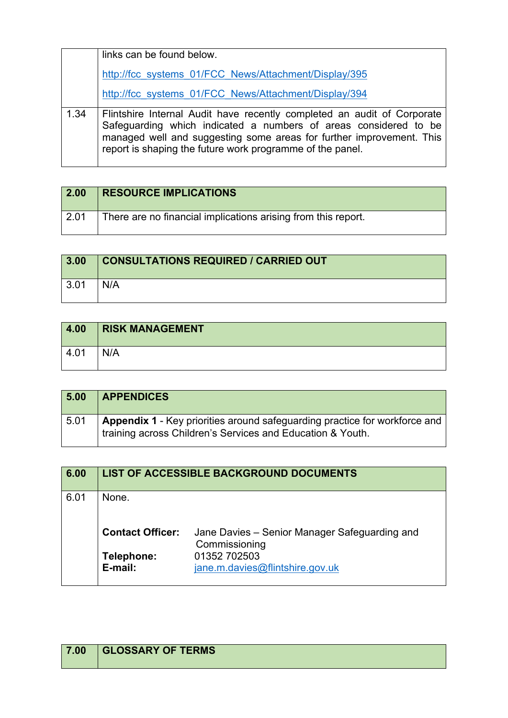|      | links can be found below.                                                                                                                                                                                                                                                        |  |  |
|------|----------------------------------------------------------------------------------------------------------------------------------------------------------------------------------------------------------------------------------------------------------------------------------|--|--|
|      | http://fcc systems 01/FCC News/Attachment/Display/395                                                                                                                                                                                                                            |  |  |
|      | http://fcc systems 01/FCC News/Attachment/Display/394                                                                                                                                                                                                                            |  |  |
| 1.34 | Flintshire Internal Audit have recently completed an audit of Corporate<br>Safeguarding which indicated a numbers of areas considered to be<br>managed well and suggesting some areas for further improvement. This<br>report is shaping the future work programme of the panel. |  |  |

| 2.00 | <b>RESOURCE IMPLICATIONS</b>                                  |
|------|---------------------------------------------------------------|
| 2.01 | There are no financial implications arising from this report. |

| 3.00         | <b>CONSULTATIONS REQUIRED / CARRIED OUT</b> |
|--------------|---------------------------------------------|
| $\vert$ 3.01 | N/A                                         |

| 4.00 | <b>RISK MANAGEMENT</b> |
|------|------------------------|
| 4.01 | N/A                    |

| 5.00 | <b>APPENDICES</b>                                                                                                                        |
|------|------------------------------------------------------------------------------------------------------------------------------------------|
| 5.01 | Appendix 1 - Key priorities around safeguarding practice for workforce and<br>training across Children's Services and Education & Youth. |

| 6.00 | LIST OF ACCESSIBLE BACKGROUND DOCUMENTS |                                                                |
|------|-----------------------------------------|----------------------------------------------------------------|
| 6.01 | None.                                   |                                                                |
|      | <b>Contact Officer:</b>                 | Jane Davies – Senior Manager Safeguarding and<br>Commissioning |
|      | Telephone:<br>E-mail:                   | 01352 702503<br>jane.m.davies@flintshire.gov.uk                |

| 7.00 | <b>GLOSSARY OF TERMS</b> |
|------|--------------------------|
|      |                          |